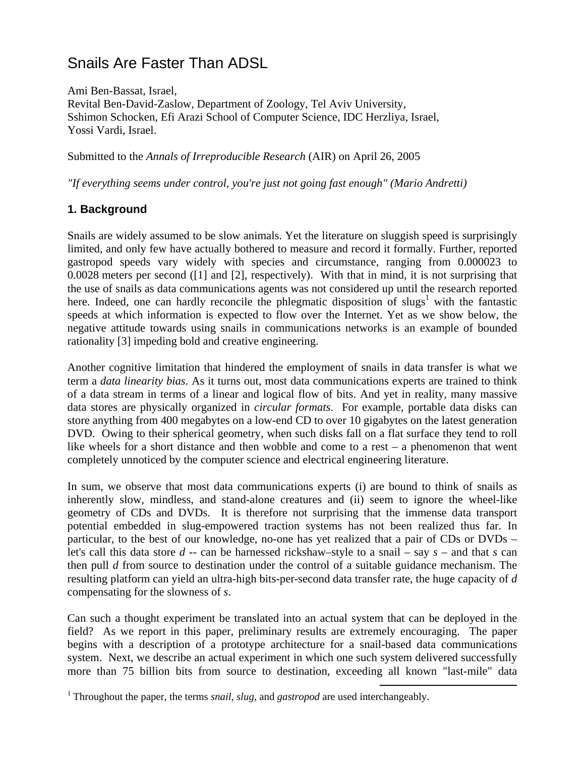# Snails Are Faster Than ADSL

Ami Ben-Bassat, Israel, Revital Ben-David-Zaslow, Department of Zoology, Tel Aviv University, Sshimon Schocken, Efi Arazi School of Computer Science, IDC Herzliya, Israel, Yossi Vardi, Israel.

Submitted to the *Annals of Irreproducible Research* (AIR) on April 26, 2005

*"If everything seems under control, you're just not going fast enough" (Mario Andretti)* 

# **1. Background**

Snails are widely assumed to be slow animals. Yet the literature on sluggish speed is surprisingly limited, and only few have actually bothered to measure and record it formally. Further, reported gastropod speeds vary widely with species and circumstance, ranging from 0.000023 to 0.0028 meters per second ([1] and [2], respectively). With that in mind, it is not surprising that the use of snails as data communications agents was not considered up until the research reported here. Indeed, one can hardly reconcile the phlegmatic disposition of slugs<sup>[1](#page-0-0)</sup> with the fantastic speeds at which information is expected to flow over the Internet. Yet as we show below, the negative attitude towards using snails in communications networks is an example of bounded rationality [3] impeding bold and creative engineering.

Another cognitive limitation that hindered the employment of snails in data transfer is what we term a *data linearity bias*. As it turns out, most data communications experts are trained to think of a data stream in terms of a linear and logical flow of bits. And yet in reality, many massive data stores are physically organized in *circular formats*. For example, portable data disks can store anything from 400 megabytes on a low-end CD to over 10 gigabytes on the latest generation DVD. Owing to their spherical geometry, when such disks fall on a flat surface they tend to roll like wheels for a short distance and then wobble and come to a rest – a phenomenon that went completely unnoticed by the computer science and electrical engineering literature.

In sum, we observe that most data communications experts (i) are bound to think of snails as inherently slow, mindless, and stand-alone creatures and (ii) seem to ignore the wheel-like geometry of CDs and DVDs. It is therefore not surprising that the immense data transport potential embedded in slug-empowered traction systems has not been realized thus far. In particular, to the best of our knowledge, no-one has yet realized that a pair of CDs or DVDs – let's call this data store *d* -- can be harnessed rickshaw–style to a snail – say *s* – and that *s* can then pull *d* from source to destination under the control of a suitable guidance mechanism. The resulting platform can yield an ultra-high bits-per-second data transfer rate, the huge capacity of *d* compensating for the slowness of *s*.

Can such a thought experiment be translated into an actual system that can be deployed in the field? As we report in this paper, preliminary results are extremely encouraging. The paper begins with a description of a prototype architecture for a snail-based data communications system. Next, we describe an actual experiment in which one such system delivered successfully more than 75 billion bits from source to destination, exceeding all known "last-mile" data

<span id="page-0-0"></span> <sup>1</sup> Throughout the paper, the terms *snail*, *slug*, and *gastropod* are used interchangeably.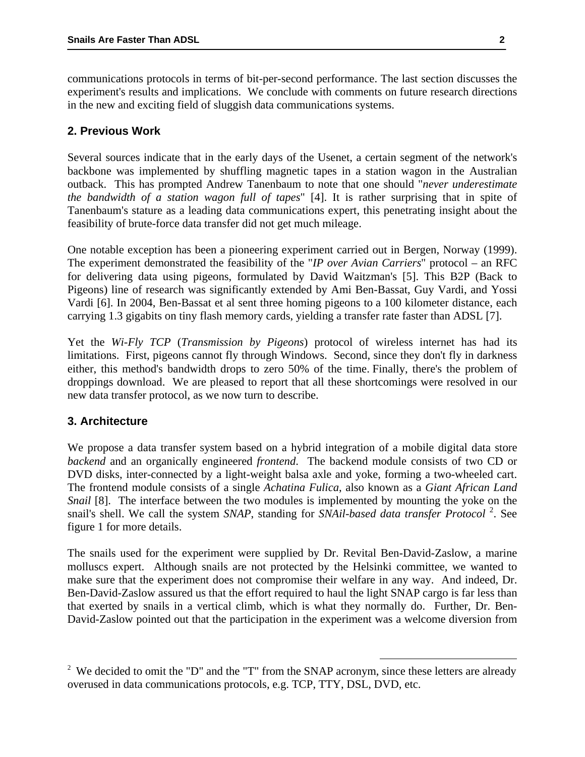communications protocols in terms of bit-per-second performance. The last section discusses the experiment's results and implications. We conclude with comments on future research directions in the new and exciting field of sluggish data communications systems.

# **2. Previous Work**

Several sources indicate that in the early days of the Usenet, a certain segment of the network's backbone was implemented by shuffling magnetic tapes in a station wagon in the Australian outback. This has prompted Andrew Tanenbaum to note that one should "*never underestimate the bandwidth of a station wagon full of tapes*" [4]. It is rather surprising that in spite of Tanenbaum's stature as a leading data communications expert, this penetrating insight about the feasibility of brute-force data transfer did not get much mileage.

One notable exception has been a pioneering experiment carried out in Bergen, Norway (1999). The experiment demonstrated the feasibility of the "*IP over Avian Carriers*" protocol – an RFC for delivering data using pigeons, formulated by David Waitzman's [5]. This B2P (Back to Pigeons) line of research was significantly extended by Ami Ben-Bassat, Guy Vardi, and Yossi Vardi [6]. In 2004, Ben-Bassat et al sent three homing pigeons to a 100 kilometer distance, each carrying 1.3 gigabits on tiny flash memory cards, yielding a transfer rate faster than ADSL [7].

Yet the *Wi-Fly TCP* (*Transmission by Pigeons*) protocol of wireless internet has had its limitations. First, pigeons cannot fly through Windows. Second, since they don't fly in darkness either, this method's bandwidth drops to zero 50% of the time. Finally, there's the problem of droppings download. We are pleased to report that all these shortcomings were resolved in our new data transfer protocol, as we now turn to describe.

#### **3. Architecture**

We propose a data transfer system based on a hybrid integration of a mobile digital data store *backend* and an organically engineered *frontend*. The backend module consists of two CD or DVD disks, inter-connected by a light-weight balsa axle and yoke, forming a two-wheeled cart. The frontend module consists of a single *Achatina Fulica*, also known as a *Giant African Land Snail* [8]. The interface between the two modules is implemented by mounting the yoke on the snail's shell. We call the system *SNAP*, standing for *SNAil-based data transfer Protocol*<sup>[2](#page-1-0)</sup>. See figure 1 for more details.

The snails used for the experiment were supplied by Dr. Revital Ben-David-Zaslow, a marine molluscs expert. Although snails are not protected by the Helsinki committee, we wanted to make sure that the experiment does not compromise their welfare in any way. And indeed, Dr. Ben-David-Zaslow assured us that the effort required to haul the light SNAP cargo is far less than that exerted by snails in a vertical climb, which is what they normally do. Further, Dr. Ben-David-Zaslow pointed out that the participation in the experiment was a welcome diversion from

<span id="page-1-0"></span><sup>&</sup>lt;sup>2</sup> We decided to omit the "D" and the "T" from the SNAP acronym, since these letters are already overused in data communications protocols, e.g. TCP, TTY, DSL, DVD, etc.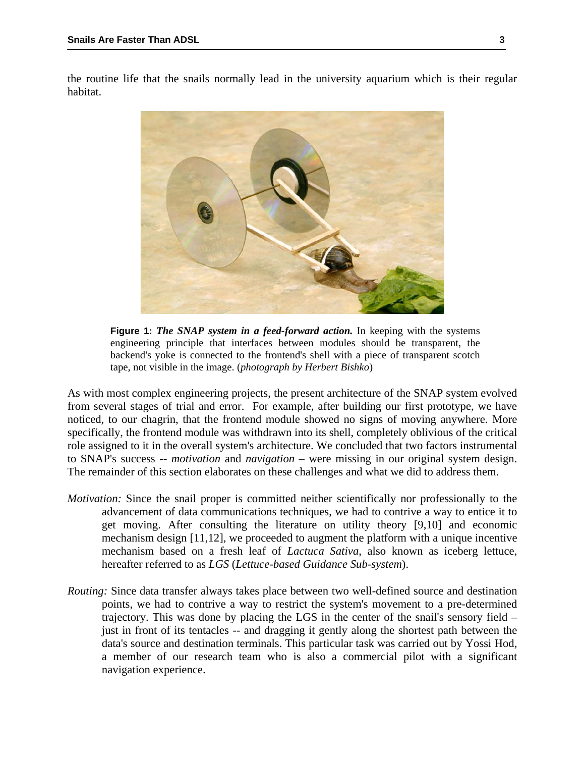the routine life that the snails normally lead in the university aquarium which is their regular habitat.



**Figure 1:** *The SNAP system in a feed-forward action.* In keeping with the systems engineering principle that interfaces between modules should be transparent, the backend's yoke is connected to the frontend's shell with a piece of transparent scotch tape, not visible in the image. (*photograph by Herbert Bishko*)

As with most complex engineering projects, the present architecture of the SNAP system evolved from several stages of trial and error. For example, after building our first prototype, we have noticed, to our chagrin, that the frontend module showed no signs of moving anywhere. More specifically, the frontend module was withdrawn into its shell, completely oblivious of the critical role assigned to it in the overall system's architecture. We concluded that two factors instrumental to SNAP's success -- *motivation* and *navigation* – were missing in our original system design. The remainder of this section elaborates on these challenges and what we did to address them.

- *Motivation:* Since the snail proper is committed neither scientifically nor professionally to the advancement of data communications techniques, we had to contrive a way to entice it to get moving. After consulting the literature on utility theory [9,10] and economic mechanism design [11,12], we proceeded to augment the platform with a unique incentive mechanism based on a fresh leaf of *Lactuca Sativa*, also known as iceberg lettuce, hereafter referred to as *LGS* (*Lettuce-based Guidance Sub-system*).
- *Routing:* Since data transfer always takes place between two well-defined source and destination points, we had to contrive a way to restrict the system's movement to a pre-determined trajectory. This was done by placing the LGS in the center of the snail's sensory field – just in front of its tentacles -- and dragging it gently along the shortest path between the data's source and destination terminals. This particular task was carried out by Yossi Hod, a member of our research team who is also a commercial pilot with a significant navigation experience.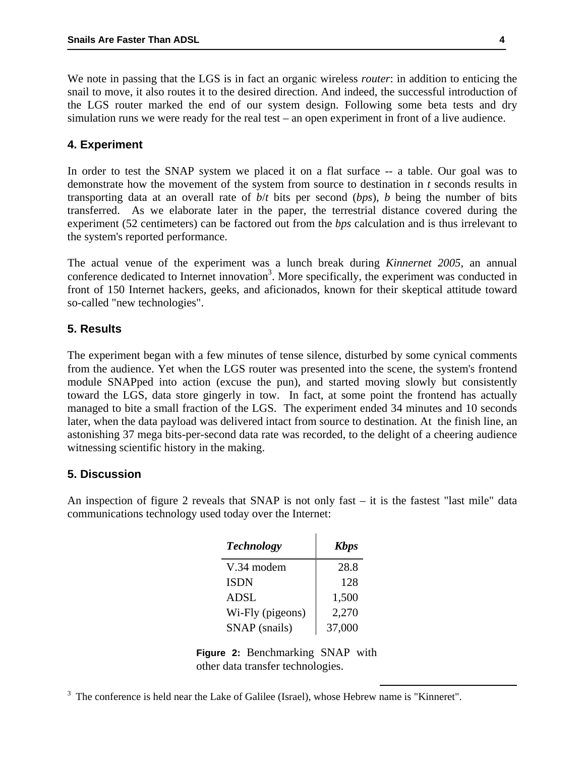We note in passing that the LGS is in fact an organic wireless *router*: in addition to enticing the snail to move, it also routes it to the desired direction. And indeed, the successful introduction of the LGS router marked the end of our system design. Following some beta tests and dry simulation runs we were ready for the real test – an open experiment in front of a live audience.

#### **4. Experiment**

In order to test the SNAP system we placed it on a flat surface -- a table. Our goal was to demonstrate how the movement of the system from source to destination in *t* seconds results in transporting data at an overall rate of *b*/*t* bits per second (*bps*), *b* being the number of bits transferred. As we elaborate later in the paper, the terrestrial distance covered during the experiment (52 centimeters) can be factored out from the *bps* calculation and is thus irrelevant to the system's reported performance.

The actual venue of the experiment was a lunch break during *Kinnernet 2005*, an annual conference dedicated to Internet innovation<sup>[3](#page-3-0)</sup>. More specifically, the experiment was conducted in front of 150 Internet hackers, geeks, and aficionados, known for their skeptical attitude toward so-called "new technologies".

#### **5. Results**

The experiment began with a few minutes of tense silence, disturbed by some cynical comments from the audience. Yet when the LGS router was presented into the scene, the system's frontend module SNAPped into action (excuse the pun), and started moving slowly but consistently toward the LGS, data store gingerly in tow. In fact, at some point the frontend has actually managed to bite a small fraction of the LGS. The experiment ended 34 minutes and 10 seconds later, when the data payload was delivered intact from source to destination. At the finish line, an astonishing 37 mega bits-per-second data rate was recorded, to the delight of a cheering audience witnessing scientific history in the making.

## **5. Discussion**

An inspection of figure 2 reveals that SNAP is not only fast – it is the fastest "last mile" data communications technology used today over the Internet:

| <b>Technology</b> | <b>Kbps</b> |
|-------------------|-------------|
| V.34 modem        | 28.8        |
| <b>ISDN</b>       | 128         |
| <b>ADSL</b>       | 1,500       |
| Wi-Fly (pigeons)  | 2,270       |
| SNAP (snails)     | 37,000      |

**Figure 2:** Benchmarking SNAP with other data transfer technologies.

<span id="page-3-0"></span><sup>3</sup> The conference is held near the Lake of Galilee (Israel), whose Hebrew name is "Kinneret".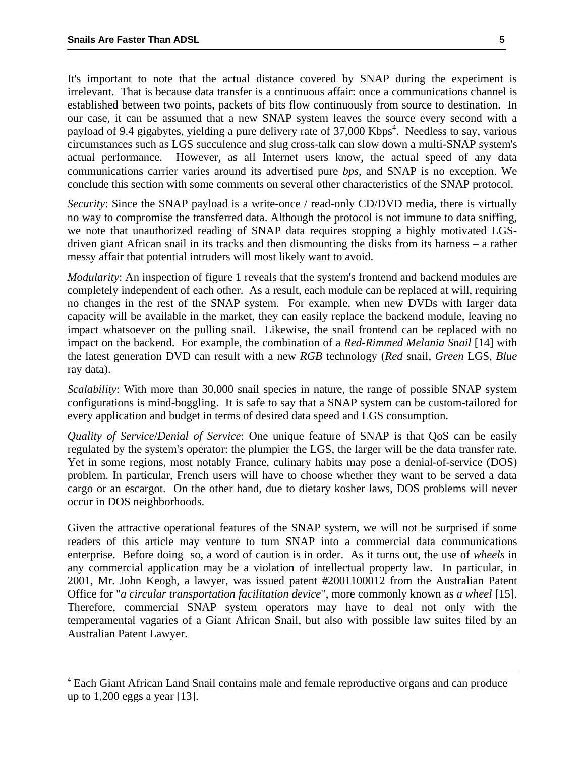It's important to note that the actual distance covered by SNAP during the experiment is irrelevant. That is because data transfer is a continuous affair: once a communications channel is established between two points, packets of bits flow continuously from source to destination. In our case, it can be assumed that a new SNAP system leaves the source every second with a payload of 9.4 gigabytes, yielding a pure delivery rate of 37,000 Kbps<sup>4</sup>[.](#page-4-0) Needless to say, various circumstances such as LGS succulence and slug cross-talk can slow down a multi-SNAP system's actual performance. However, as all Internet users know, the actual speed of any data communications carrier varies around its advertised pure *bps*, and SNAP is no exception. We conclude this section with some comments on several other characteristics of the SNAP protocol.

*Security*: Since the SNAP payload is a write-once / read-only CD/DVD media, there is virtually no way to compromise the transferred data. Although the protocol is not immune to data sniffing, we note that unauthorized reading of SNAP data requires stopping a highly motivated LGSdriven giant African snail in its tracks and then dismounting the disks from its harness – a rather messy affair that potential intruders will most likely want to avoid.

*Modularity*: An inspection of figure 1 reveals that the system's frontend and backend modules are completely independent of each other. As a result, each module can be replaced at will, requiring no changes in the rest of the SNAP system. For example, when new DVDs with larger data capacity will be available in the market, they can easily replace the backend module, leaving no impact whatsoever on the pulling snail. Likewise, the snail frontend can be replaced with no impact on the backend. For example, the combination of a *Red-Rimmed Melania Snail* [14] with the latest generation DVD can result with a new *RGB* technology (*Red* snail, *Green* LGS, *Blue* ray data).

*Scalability*: With more than 30,000 snail species in nature, the range of possible SNAP system configurations is mind-boggling. It is safe to say that a SNAP system can be custom-tailored for every application and budget in terms of desired data speed and LGS consumption.

*Quality of Service*/*Denial of Service*: One unique feature of SNAP is that QoS can be easily regulated by the system's operator: the plumpier the LGS, the larger will be the data transfer rate. Yet in some regions, most notably France, culinary habits may pose a denial-of-service (DOS) problem. In particular, French users will have to choose whether they want to be served a data cargo or an escargot. On the other hand, due to dietary kosher laws, DOS problems will never occur in DOS neighborhoods.

Given the attractive operational features of the SNAP system, we will not be surprised if some readers of this article may venture to turn SNAP into a commercial data communications enterprise. Before doing so, a word of caution is in order. As it turns out, the use of *wheels* in any commercial application may be a violation of intellectual property law. In particular, in 2001, Mr. John Keogh, a lawyer, was issued patent #2001100012 from the Australian Patent Office for "*a circular transportation facilitation device*", more commonly known as *a wheel* [15]. Therefore, commercial SNAP system operators may have to deal not only with the temperamental vagaries of a Giant African Snail, but also with possible law suites filed by an Australian Patent Lawyer.

<span id="page-4-0"></span> <sup>4</sup> Each Giant African Land Snail contains male and female reproductive organs and can produce up to 1,200 eggs a year [13].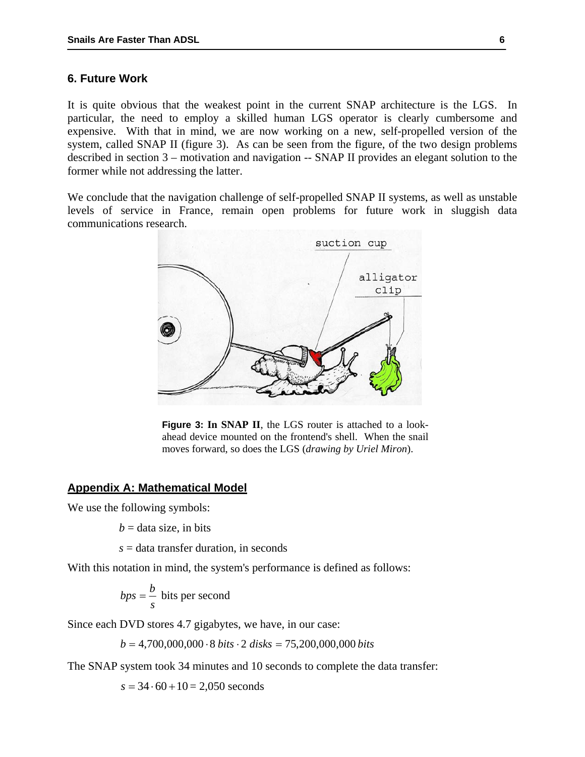### **6. Future Work**

It is quite obvious that the weakest point in the current SNAP architecture is the LGS. In particular, the need to employ a skilled human LGS operator is clearly cumbersome and expensive. With that in mind, we are now working on a new, self-propelled version of the system, called SNAP II (figure 3). As can be seen from the figure, of the two design problems described in section 3 – motivation and navigation -- SNAP II provides an elegant solution to the former while not addressing the latter.

We conclude that the navigation challenge of self-propelled SNAP II systems, as well as unstable levels of service in France, remain open problems for future work in sluggish data communications research.



**Figure 3: In SNAP II**, the LGS router is attached to a lookahead device mounted on the frontend's shell. When the snail moves forward, so does the LGS (*drawing by Uriel Miron*).

#### **Appendix A: Mathematical Model**

We use the following symbols:

 $b =$  data size, in bits

*s* = data transfer duration, in seconds

With this notation in mind, the system's performance is defined as follows:

$$
bps = \frac{b}{s}
$$
 bits per second

Since each DVD stores 4.7 gigabytes, we have, in our case:

*b* = 4,700,000,000 ⋅8 *bits* ⋅ 2 *disks* = 75,200,000,000 *bits*

The SNAP system took 34 minutes and 10 seconds to complete the data transfer:

 $s = 34 \cdot 60 + 10 = 2,050$  seconds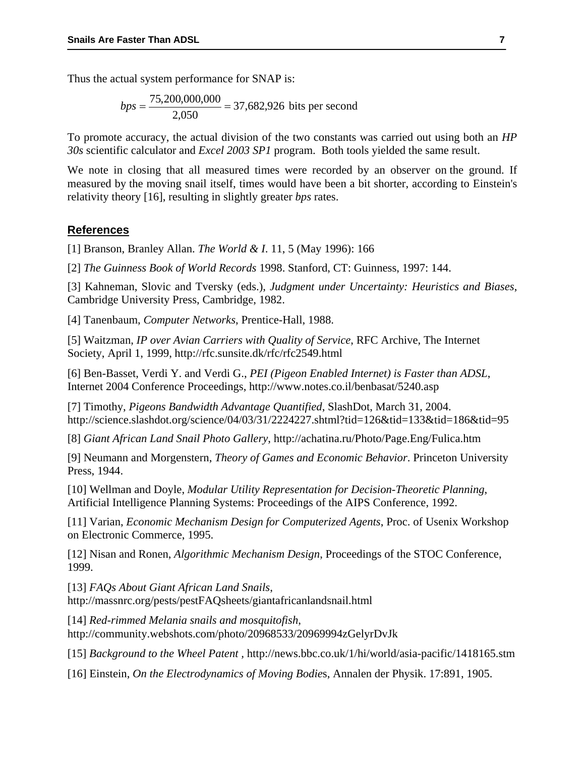Thus the actual system performance for SNAP is:

$$
bps = \frac{75,200,000,000}{2,050} = 37,682,926
$$
 bits per second

To promote accuracy, the actual division of the two constants was carried out using both an *HP 30s* scientific calculator and *Excel 2003 SP1* program. Both tools yielded the same result.

We note in closing that all measured times were recorded by an observer on the ground. If measured by the moving snail itself, times would have been a bit shorter, according to Einstein's relativity theory [16], resulting in slightly greater *bps* rates.

#### **References**

[1] Branson, Branley Allan. *The World & I*. 11, 5 (May 1996): 166

[2] *The Guinness Book of World Records* 1998. Stanford, CT: Guinness, 1997: 144.

[3] Kahneman, Slovic and Tversky (eds.), *Judgment under Uncertainty: Heuristics and Biases*, Cambridge University Press, Cambridge, 1982.

[4] Tanenbaum, *Computer Networks*, Prentice-Hall, 1988.

[5] Waitzman, *IP over Avian Carriers with Quality of Service*, RFC Archive, The Internet Society, April 1, 1999,<http://rfc.sunsite.dk/rfc/rfc2549.html>

[6] Ben-Basset, Verdi Y. and Verdi G., *PEI (Pigeon Enabled Internet) is Faster than ADSL*, Internet 2004 Conference Proceedings, http://www.notes.co.il/benbasat/5240.asp

[7] Timothy, *Pigeons Bandwidth Advantage Quantified*, SlashDot, March 31, 2004. http://science.slashdot.org/science/04/03/31/2224227.shtml?tid=126&tid=133&tid=186&tid=95

[8] *Giant African Land Snail Photo Gallery*, http://achatina.ru/Photo/Page.Eng/Fulica.htm

[9] Neumann and Morgenstern, *Theory of Games and Economic Behavior*. Princeton University Press, 1944.

[10] Wellman and Doyle, *Modular Utility Representation for Decision-Theoretic Planning*, Artificial Intelligence Planning Systems: Proceedings of the AIPS Conference, 1992.

[11] Varian, *Economic Mechanism Design for Computerized Agents*, Proc. of Usenix Workshop on Electronic Commerce, 1995.

[12] Nisan and Ronen, *Algorithmic Mechanism Design*, Proceedings of the STOC Conference, 1999.

[13] *FAQs About Giant African Land Snails*, <http://massnrc.org/pests/pestFAQsheets/giantafricanlandsnail.html>

[14] *Red-rimmed Melania snails and mosquitofish*, http://community.webshots.com/photo/20968533/20969994zGelyrDvJk

[15] *Background to the Wheel Patent ,* http://news.bbc.co.uk/1/hi/world/asia-pacific/1418165.stm

[16] Einstein, *On the [Electrodynamics](http://en.wikipedia.org/wiki/Electrodynamics) of Moving Bodie*s, Annalen der Physik. 17:891, 1905.